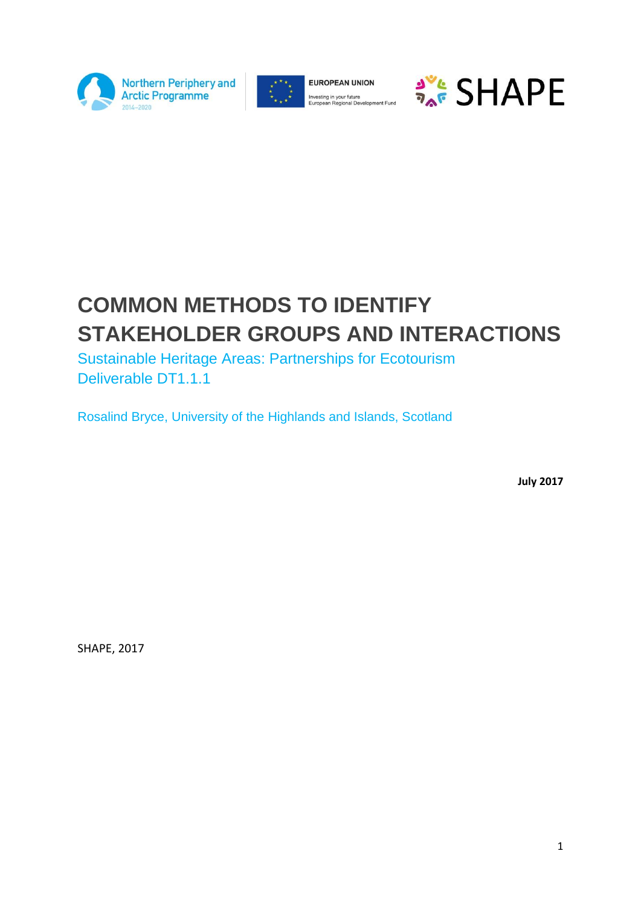



**EUROPEAN UNION** Investing in your future<br>European Regional Development Fund



# **COMMON METHODS TO IDENTIFY STAKEHOLDER GROUPS AND INTERACTIONS**

Sustainable Heritage Areas: Partnerships for Ecotourism Deliverable DT1.1.1

Rosalind Bryce, University of the Highlands and Islands, Scotland

**July 2017**

SHAPE, 2017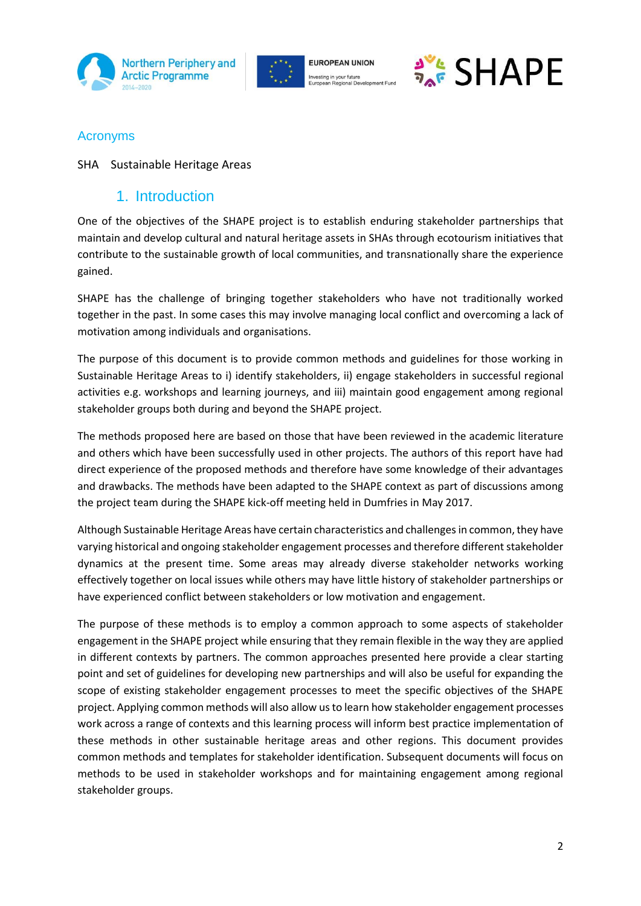





#### Acronyms

#### SHA Sustainable Heritage Areas

### 1. Introduction

One of the objectives of the SHAPE project is to establish enduring stakeholder partnerships that maintain and develop cultural and natural heritage assets in SHAs through ecotourism initiatives that contribute to the sustainable growth of local communities, and transnationally share the experience gained.

SHAPE has the challenge of bringing together stakeholders who have not traditionally worked together in the past. In some cases this may involve managing local conflict and overcoming a lack of motivation among individuals and organisations.

The purpose of this document is to provide common methods and guidelines for those working in Sustainable Heritage Areas to i) identify stakeholders, ii) engage stakeholders in successful regional activities e.g. workshops and learning journeys, and iii) maintain good engagement among regional stakeholder groups both during and beyond the SHAPE project.

The methods proposed here are based on those that have been reviewed in the academic literature and others which have been successfully used in other projects. The authors of this report have had direct experience of the proposed methods and therefore have some knowledge of their advantages and drawbacks. The methods have been adapted to the SHAPE context as part of discussions among the project team during the SHAPE kick-off meeting held in Dumfries in May 2017.

Although Sustainable Heritage Areas have certain characteristics and challenges in common, they have varying historical and ongoing stakeholder engagement processes and therefore different stakeholder dynamics at the present time. Some areas may already diverse stakeholder networks working effectively together on local issues while others may have little history of stakeholder partnerships or have experienced conflict between stakeholders or low motivation and engagement.

The purpose of these methods is to employ a common approach to some aspects of stakeholder engagement in the SHAPE project while ensuring that they remain flexible in the way they are applied in different contexts by partners. The common approaches presented here provide a clear starting point and set of guidelines for developing new partnerships and will also be useful for expanding the scope of existing stakeholder engagement processes to meet the specific objectives of the SHAPE project. Applying common methods will also allow us to learn how stakeholder engagement processes work across a range of contexts and this learning process will inform best practice implementation of these methods in other sustainable heritage areas and other regions. This document provides common methods and templates for stakeholder identification. Subsequent documents will focus on methods to be used in stakeholder workshops and for maintaining engagement among regional stakeholder groups.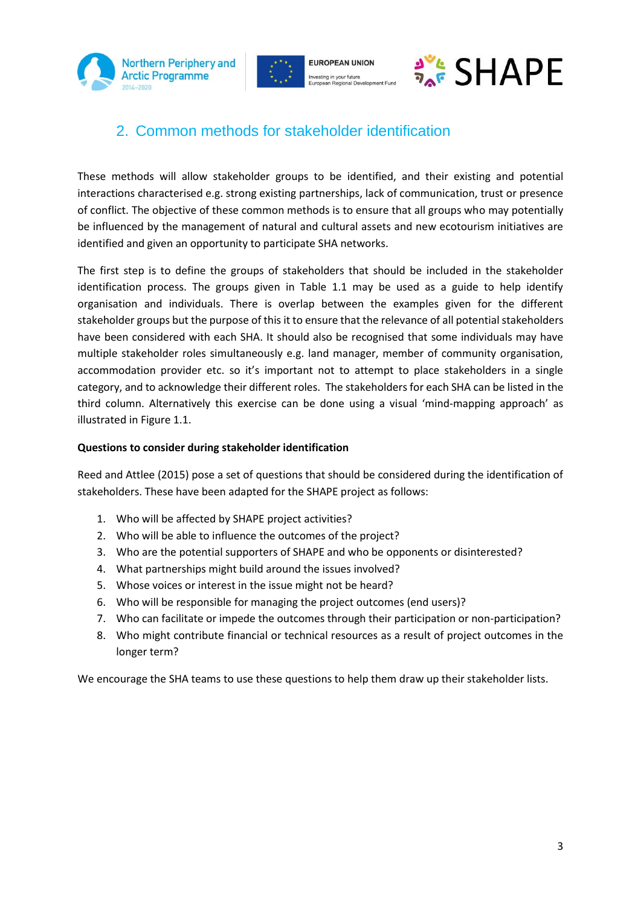





## 2. Common methods for stakeholder identification

These methods will allow stakeholder groups to be identified, and their existing and potential interactions characterised e.g. strong existing partnerships, lack of communication, trust or presence of conflict. The objective of these common methods is to ensure that all groups who may potentially be influenced by the management of natural and cultural assets and new ecotourism initiatives are identified and given an opportunity to participate SHA networks.

The first step is to define the groups of stakeholders that should be included in the stakeholder identification process. The groups given in Table 1.1 may be used as a guide to help identify organisation and individuals. There is overlap between the examples given for the different stakeholder groups but the purpose of this it to ensure that the relevance of all potential stakeholders have been considered with each SHA. It should also be recognised that some individuals may have multiple stakeholder roles simultaneously e.g. land manager, member of community organisation, accommodation provider etc. so it's important not to attempt to place stakeholders in a single category, and to acknowledge their different roles. The stakeholders for each SHA can be listed in the third column. Alternatively this exercise can be done using a visual 'mind-mapping approach' as illustrated in Figure 1.1.

#### **Questions to consider during stakeholder identification**

Reed and Attlee (2015) pose a set of questions that should be considered during the identification of stakeholders. These have been adapted for the SHAPE project as follows:

- 1. Who will be affected by SHAPE project activities?
- 2. Who will be able to influence the outcomes of the project?
- 3. Who are the potential supporters of SHAPE and who be opponents or disinterested?
- 4. What partnerships might build around the issues involved?
- 5. Whose voices or interest in the issue might not be heard?
- 6. Who will be responsible for managing the project outcomes (end users)?
- 7. Who can facilitate or impede the outcomes through their participation or non-participation?
- 8. Who might contribute financial or technical resources as a result of project outcomes in the longer term?

We encourage the SHA teams to use these questions to help them draw up their stakeholder lists.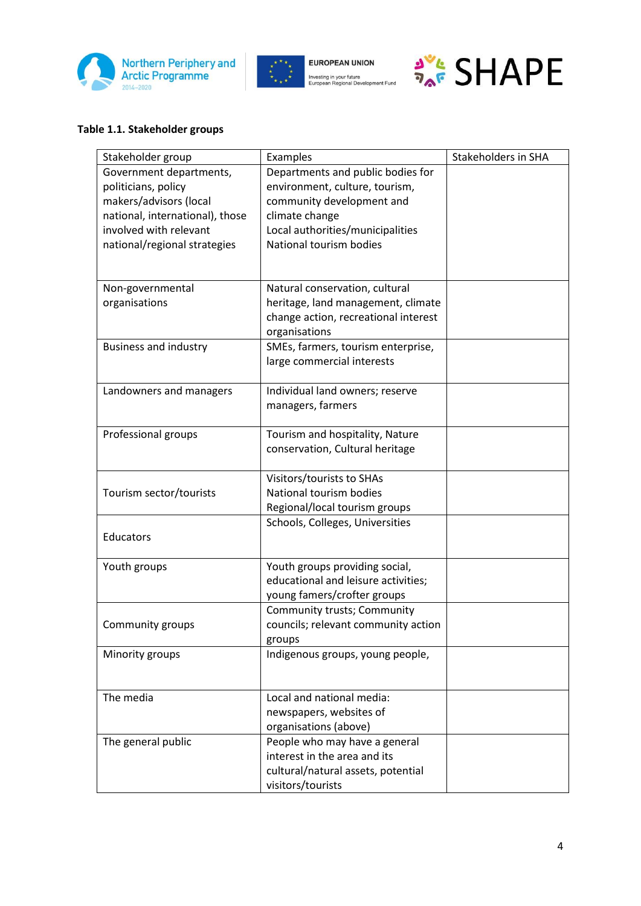





#### **Table 1.1. Stakeholder groups**

| Stakeholder group                 | Examples                             | Stakeholders in SHA |
|-----------------------------------|--------------------------------------|---------------------|
| Government departments,           | Departments and public bodies for    |                     |
| politicians, policy               | environment, culture, tourism,       |                     |
| makers/advisors (local            | community development and            |                     |
| national, international), those   | climate change                       |                     |
| involved with relevant            | Local authorities/municipalities     |                     |
| national/regional strategies      | National tourism bodies              |                     |
|                                   |                                      |                     |
|                                   | Natural conservation, cultural       |                     |
| Non-governmental<br>organisations | heritage, land management, climate   |                     |
|                                   | change action, recreational interest |                     |
|                                   | organisations                        |                     |
| <b>Business and industry</b>      | SMEs, farmers, tourism enterprise,   |                     |
|                                   | large commercial interests           |                     |
|                                   |                                      |                     |
| Landowners and managers           | Individual land owners; reserve      |                     |
|                                   | managers, farmers                    |                     |
|                                   |                                      |                     |
| Professional groups               | Tourism and hospitality, Nature      |                     |
|                                   | conservation, Cultural heritage      |                     |
|                                   |                                      |                     |
|                                   | Visitors/tourists to SHAs            |                     |
| Tourism sector/tourists           | National tourism bodies              |                     |
|                                   | Regional/local tourism groups        |                     |
|                                   | Schools, Colleges, Universities      |                     |
| Educators                         |                                      |                     |
| Youth groups                      | Youth groups providing social,       |                     |
|                                   | educational and leisure activities;  |                     |
|                                   | young famers/crofter groups          |                     |
|                                   | Community trusts; Community          |                     |
| Community groups                  | councils; relevant community action  |                     |
|                                   | groups                               |                     |
| Minority groups                   | Indigenous groups, young people,     |                     |
|                                   |                                      |                     |
|                                   |                                      |                     |
| The media                         | Local and national media:            |                     |
|                                   | newspapers, websites of              |                     |
|                                   | organisations (above)                |                     |
| The general public                | People who may have a general        |                     |
|                                   | interest in the area and its         |                     |
|                                   | cultural/natural assets, potential   |                     |
|                                   | visitors/tourists                    |                     |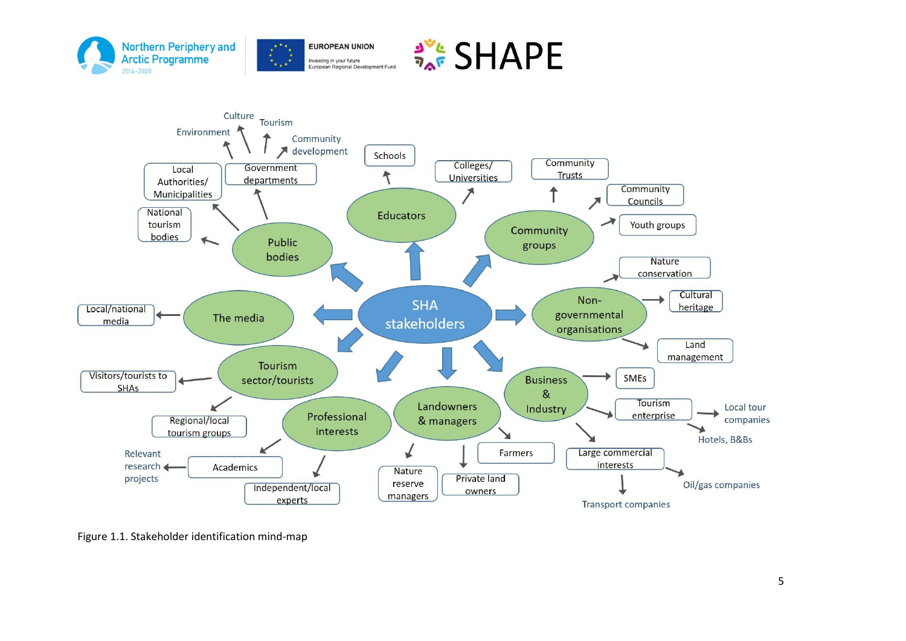



Figure 1.1. Stakeholder identification mind-map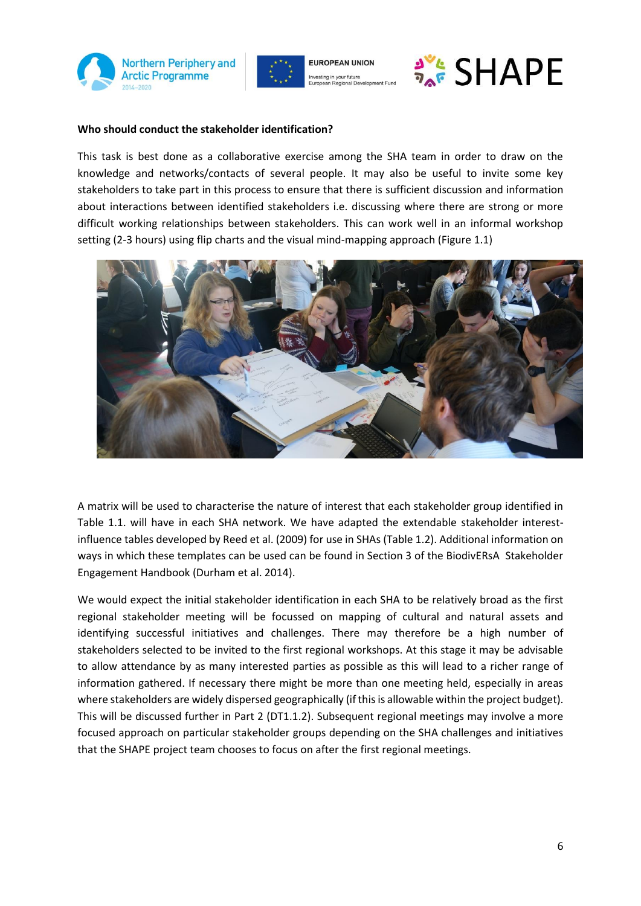



**FUROPEAN UNION** Investing in your future



#### **Who should conduct the stakeholder identification?**

This task is best done as a collaborative exercise among the SHA team in order to draw on the knowledge and networks/contacts of several people. It may also be useful to invite some key stakeholders to take part in this process to ensure that there is sufficient discussion and information about interactions between identified stakeholders i.e. discussing where there are strong or more difficult working relationships between stakeholders. This can work well in an informal workshop setting (2-3 hours) using flip charts and the visual mind-mapping approach (Figure 1.1)



A matrix will be used to characterise the nature of interest that each stakeholder group identified in Table 1.1. will have in each SHA network. We have adapted the extendable stakeholder interestinfluence tables developed by Reed et al. (2009) for use in SHAs (Table 1.2). Additional information on ways in which these templates can be used can be found in Section 3 of the BiodivERsA Stakeholder Engagement Handbook (Durham et al. 2014).

We would expect the initial stakeholder identification in each SHA to be relatively broad as the first regional stakeholder meeting will be focussed on mapping of cultural and natural assets and identifying successful initiatives and challenges. There may therefore be a high number of stakeholders selected to be invited to the first regional workshops. At this stage it may be advisable to allow attendance by as many interested parties as possible as this will lead to a richer range of information gathered. If necessary there might be more than one meeting held, especially in areas where stakeholders are widely dispersed geographically (if this is allowable within the project budget). This will be discussed further in Part 2 (DT1.1.2). Subsequent regional meetings may involve a more focused approach on particular stakeholder groups depending on the SHA challenges and initiatives that the SHAPE project team chooses to focus on after the first regional meetings.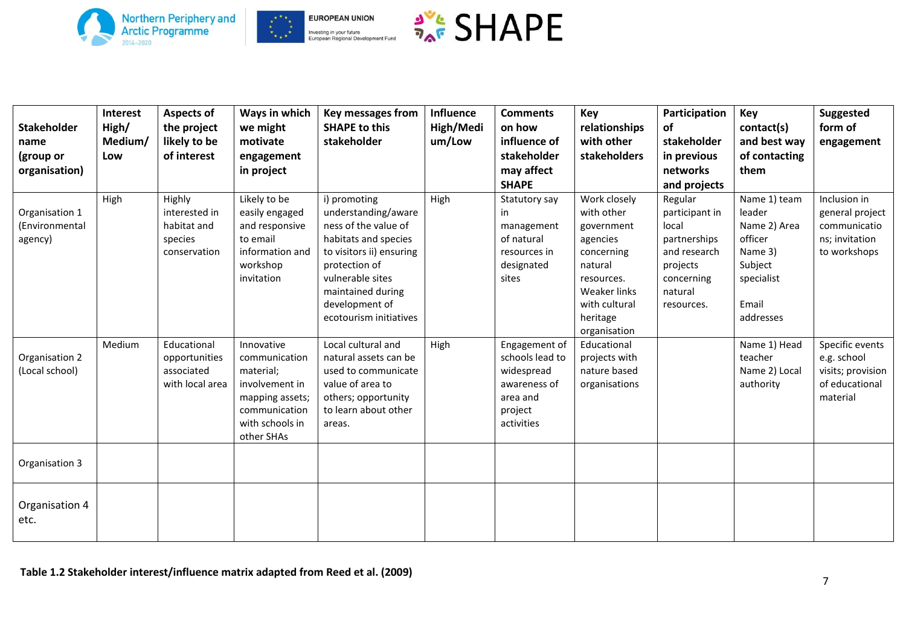







| <b>Stakeholder</b><br>name<br>(group or<br>organisation) | Interest<br>High/<br>Medium/<br>Low | <b>Aspects of</b><br>the project<br>likely to be<br>of interest   | Ways in which<br>we might<br>motivate<br>engagement<br>in project                                                               | Key messages from<br><b>SHAPE to this</b><br>stakeholder                                                                                                                                                              | Influence<br>High/Medi<br>um/Low | <b>Comments</b><br>on how<br>influence of<br>stakeholder<br>may affect<br><b>SHAPE</b>              | Key<br>relationships<br>with other<br>stakeholders                                                                                                       | Participation<br>of<br>stakeholder<br>in previous<br>networks<br>and projects                                         | Key<br>contact(s)<br>and best way<br>of contacting<br>them                                                  | <b>Suggested</b><br>form of<br>engagement                                         |
|----------------------------------------------------------|-------------------------------------|-------------------------------------------------------------------|---------------------------------------------------------------------------------------------------------------------------------|-----------------------------------------------------------------------------------------------------------------------------------------------------------------------------------------------------------------------|----------------------------------|-----------------------------------------------------------------------------------------------------|----------------------------------------------------------------------------------------------------------------------------------------------------------|-----------------------------------------------------------------------------------------------------------------------|-------------------------------------------------------------------------------------------------------------|-----------------------------------------------------------------------------------|
| Organisation 1<br>(Environmental<br>agency)              | High                                | Highly<br>interested in<br>habitat and<br>species<br>conservation | Likely to be<br>easily engaged<br>and responsive<br>to email<br>information and<br>workshop<br>invitation                       | i) promoting<br>understanding/aware<br>ness of the value of<br>habitats and species<br>to visitors ii) ensuring<br>protection of<br>vulnerable sites<br>maintained during<br>development of<br>ecotourism initiatives | High                             | Statutory say<br>in<br>management<br>of natural<br>resources in<br>designated<br>sites              | Work closely<br>with other<br>government<br>agencies<br>concerning<br>natural<br>resources.<br>Weaker links<br>with cultural<br>heritage<br>organisation | Regular<br>participant in<br>local<br>partnerships<br>and research<br>projects<br>concerning<br>natural<br>resources. | Name 1) team<br>leader<br>Name 2) Area<br>officer<br>Name 3)<br>Subject<br>specialist<br>Email<br>addresses | Inclusion in<br>general project<br>communicatio<br>ns; invitation<br>to workshops |
| Organisation 2<br>(Local school)                         | Medium                              | Educational<br>opportunities<br>associated<br>with local area     | Innovative<br>communication<br>material;<br>involvement in<br>mapping assets;<br>communication<br>with schools in<br>other SHAs | Local cultural and<br>natural assets can be<br>used to communicate<br>value of area to<br>others; opportunity<br>to learn about other<br>areas.                                                                       | High                             | Engagement of<br>schools lead to<br>widespread<br>awareness of<br>area and<br>project<br>activities | Educational<br>projects with<br>nature based<br>organisations                                                                                            |                                                                                                                       | Name 1) Head<br>teacher<br>Name 2) Local<br>authority                                                       | Specific events<br>e.g. school<br>visits; provision<br>of educational<br>material |
| Organisation 3                                           |                                     |                                                                   |                                                                                                                                 |                                                                                                                                                                                                                       |                                  |                                                                                                     |                                                                                                                                                          |                                                                                                                       |                                                                                                             |                                                                                   |
| Organisation 4<br>etc.                                   |                                     |                                                                   |                                                                                                                                 |                                                                                                                                                                                                                       |                                  |                                                                                                     |                                                                                                                                                          |                                                                                                                       |                                                                                                             |                                                                                   |

**Table 1.2 Stakeholder interest/influence matrix adapted from Reed et al. (2009)**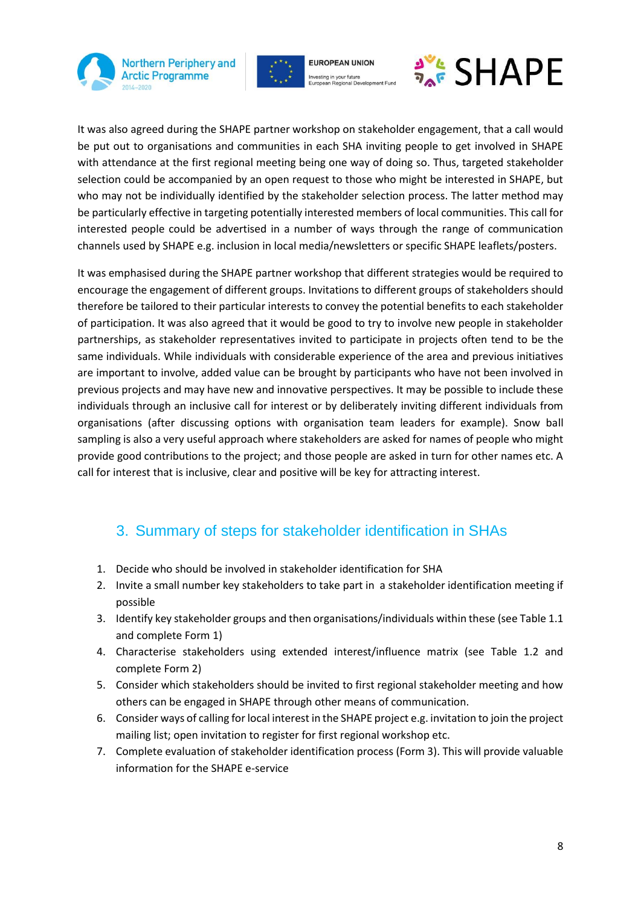



**FUROPEAN UNION** Investing in your future



It was also agreed during the SHAPE partner workshop on stakeholder engagement, that a call would be put out to organisations and communities in each SHA inviting people to get involved in SHAPE with attendance at the first regional meeting being one way of doing so. Thus, targeted stakeholder selection could be accompanied by an open request to those who might be interested in SHAPE, but who may not be individually identified by the stakeholder selection process. The latter method may be particularly effective in targeting potentially interested members of local communities. This call for interested people could be advertised in a number of ways through the range of communication channels used by SHAPE e.g. inclusion in local media/newsletters or specific SHAPE leaflets/posters.

It was emphasised during the SHAPE partner workshop that different strategies would be required to encourage the engagement of different groups. Invitations to different groups of stakeholders should therefore be tailored to their particular interests to convey the potential benefits to each stakeholder of participation. It was also agreed that it would be good to try to involve new people in stakeholder partnerships, as stakeholder representatives invited to participate in projects often tend to be the same individuals. While individuals with considerable experience of the area and previous initiatives are important to involve, added value can be brought by participants who have not been involved in previous projects and may have new and innovative perspectives. It may be possible to include these individuals through an inclusive call for interest or by deliberately inviting different individuals from organisations (after discussing options with organisation team leaders for example). Snow ball sampling is also a very useful approach where stakeholders are asked for names of people who might provide good contributions to the project; and those people are asked in turn for other names etc. A call for interest that is inclusive, clear and positive will be key for attracting interest.

## 3. Summary of steps for stakeholder identification in SHAs

- 1. Decide who should be involved in stakeholder identification for SHA
- 2. Invite a small number key stakeholders to take part in a stakeholder identification meeting if possible
- 3. Identify key stakeholder groups and then organisations/individuals within these (see Table 1.1 and complete Form 1)
- 4. Characterise stakeholders using extended interest/influence matrix (see Table 1.2 and complete Form 2)
- 5. Consider which stakeholders should be invited to first regional stakeholder meeting and how others can be engaged in SHAPE through other means of communication.
- 6. Consider ways of calling for local interest in the SHAPE project e.g. invitation to join the project mailing list; open invitation to register for first regional workshop etc.
- 7. Complete evaluation of stakeholder identification process (Form 3). This will provide valuable information for the SHAPE e-service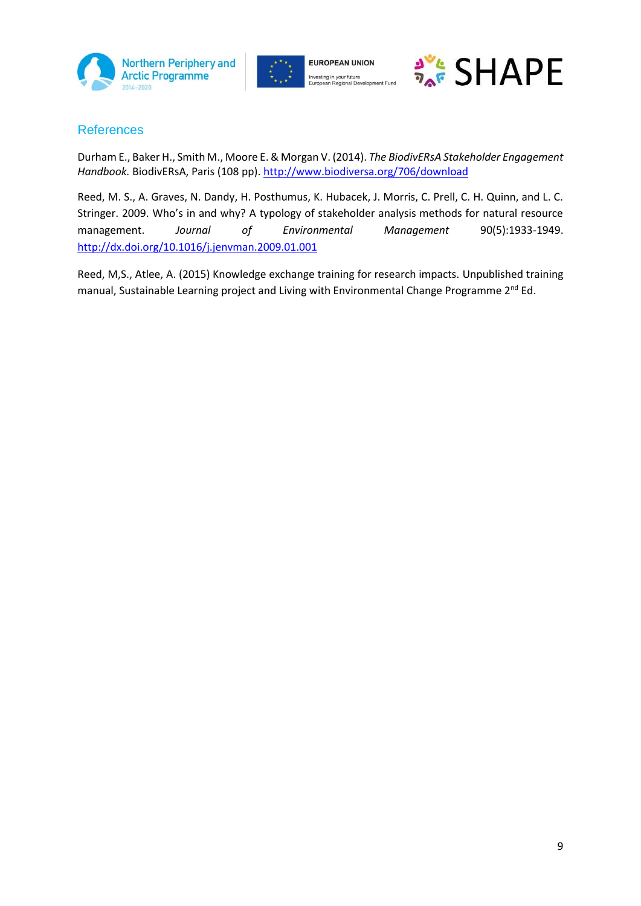





#### **References**

Durham E., Baker H., Smith M., Moore E. & Morgan V. (2014). *The BiodivERsA Stakeholder Engagement Handbook.* BiodivERsA, Paris (108 pp). <http://www.biodiversa.org/706/download>

Reed, M. S., A. Graves, N. Dandy, H. Posthumus, K. Hubacek, J. Morris, C. Prell, C. H. Quinn, and L. C. Stringer. 2009. Who's in and why? A typology of stakeholder analysis methods for natural resource management. *Journal of Environmental Management* 90(5):1933-1949. <http://dx.doi.org/10.1016/j.jenvman.2009.01.001>

Reed, M,S., Atlee, A. (2015) Knowledge exchange training for research impacts. Unpublished training manual, Sustainable Learning project and Living with Environmental Change Programme 2<sup>nd</sup> Ed.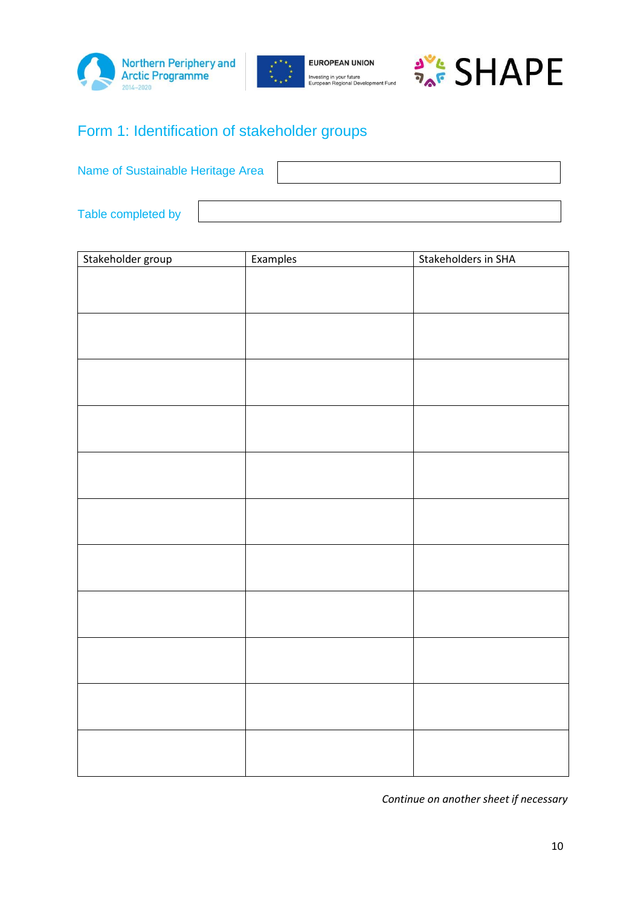







## Form 1: Identification of stakeholder groups

Name of Sustainable Heritage Area

Table completed by

| Stakeholder group | Examples | Stakeholders in SHA |
|-------------------|----------|---------------------|
|                   |          |                     |
|                   |          |                     |
|                   |          |                     |
|                   |          |                     |
|                   |          |                     |
|                   |          |                     |
|                   |          |                     |
|                   |          |                     |
|                   |          |                     |
|                   |          |                     |
|                   |          |                     |
|                   |          |                     |
|                   |          |                     |
|                   |          |                     |
|                   |          |                     |
|                   |          |                     |
|                   |          |                     |
|                   |          |                     |
|                   |          |                     |
|                   |          |                     |
|                   |          |                     |
|                   |          |                     |
|                   |          |                     |
|                   |          |                     |
|                   |          |                     |
|                   |          |                     |
|                   |          |                     |
|                   |          |                     |
|                   |          |                     |
|                   |          |                     |
|                   |          |                     |

*Continue on another sheet if necessary*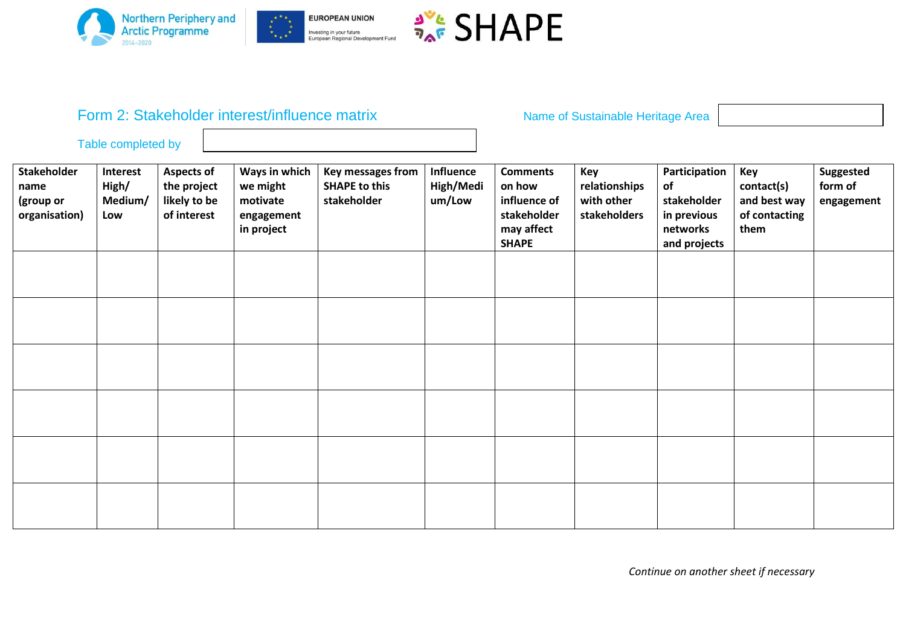





## Form 2: Stakeholder interest/influence matrix **Name of Sustainable Heritage Area**

Table completed by

| Stakeholder<br>name<br>(group or<br>organisation) | Interest<br>High/<br>Medium/<br>Low | <b>Aspects of</b><br>the project<br>likely to be<br>of interest | Ways in which<br>we might<br>motivate<br>engagement<br>in project | Key messages from<br><b>SHAPE to this</b><br>stakeholder | Influence<br>High/Medi<br>um/Low | <b>Comments</b><br>on how<br>influence of<br>stakeholder<br>may affect<br><b>SHAPE</b> | Key<br>relationships<br>with other<br>stakeholders | Participation<br>of<br>stakeholder<br>in previous<br>networks<br>and projects | Key<br>contact(s)<br>and best way<br>of contacting<br>them | Suggested<br>form of<br>engagement |
|---------------------------------------------------|-------------------------------------|-----------------------------------------------------------------|-------------------------------------------------------------------|----------------------------------------------------------|----------------------------------|----------------------------------------------------------------------------------------|----------------------------------------------------|-------------------------------------------------------------------------------|------------------------------------------------------------|------------------------------------|
|                                                   |                                     |                                                                 |                                                                   |                                                          |                                  |                                                                                        |                                                    |                                                                               |                                                            |                                    |
|                                                   |                                     |                                                                 |                                                                   |                                                          |                                  |                                                                                        |                                                    |                                                                               |                                                            |                                    |
|                                                   |                                     |                                                                 |                                                                   |                                                          |                                  |                                                                                        |                                                    |                                                                               |                                                            |                                    |
|                                                   |                                     |                                                                 |                                                                   |                                                          |                                  |                                                                                        |                                                    |                                                                               |                                                            |                                    |
|                                                   |                                     |                                                                 |                                                                   |                                                          |                                  |                                                                                        |                                                    |                                                                               |                                                            |                                    |
|                                                   |                                     |                                                                 |                                                                   |                                                          |                                  |                                                                                        |                                                    |                                                                               |                                                            |                                    |

*Continue on another sheet if necessary*